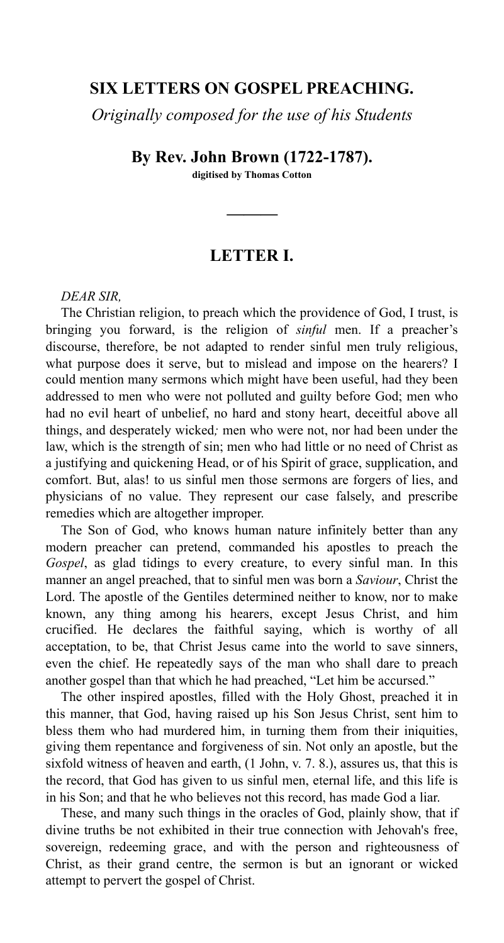## **SIX LETTERS ON GOSPEL PREACHING.**

*Originally composed for the use of his Students* 

**By Rev. John Brown (1722-1787).** 

**digitised by Thomas Cotton** 

**———** 

## **LETTER I.**

#### *DEAR SIR,*

The Christian religion, to preach which the providence of God, I trust, is bringing you forward, is the religion of *sinful* men. If a preacher's discourse, therefore, be not adapted to render sinful men truly religious, what purpose does it serve, but to mislead and impose on the hearers? I could mention many sermons which might have been useful, had they been addressed to men who were not polluted and guilty before God; men who had no evil heart of unbelief, no hard and stony heart, deceitful above all things, and desperately wicked*;* men who were not, nor had been under the law, which is the strength of sin; men who had little or no need of Christ as a justifying and quickening Head, or of his Spirit of grace, supplication, and comfort. But, alas! to us sinful men those sermons are forgers of lies, and physicians of no value. They represent our case falsely, and prescribe remedies which are altogether improper.

The Son of God, who knows human nature infinitely better than any modern preacher can pretend, commanded his apostles to preach the *Gospel*, as glad tidings to every creature, to every sinful man. In this manner an angel preached, that to sinful men was born a *Saviour*, Christ the Lord. The apostle of the Gentiles determined neither to know, nor to make known, any thing among his hearers, except Jesus Christ, and him crucified. He declares the faithful saying, which is worthy of all acceptation, to be, that Christ Jesus came into the world to save sinners, even the chief. He repeatedly says of the man who shall dare to preach another gospel than that which he had preached, "Let him be accursed."

The other inspired apostles, filled with the Holy Ghost, preached it in this manner, that God, having raised up his Son Jesus Christ, sent him to bless them who had murdered him, in turning them from their iniquities, giving them repentance and forgiveness of sin. Not only an apostle, but the sixfold witness of heaven and earth, (1 John, v. 7. 8.), assures us, that this is the record, that God has given to us sinful men, eternal life, and this life is in his Son; and that he who believes not this record, has made God a liar.

These, and many such things in the oracles of God, plainly show, that if divine truths be not exhibited in their true connection with Jehovah's free, sovereign, redeeming grace, and with the person and righteousness of Christ, as their grand centre, the sermon is but an ignorant or wicked attempt to pervert the gospel of Christ.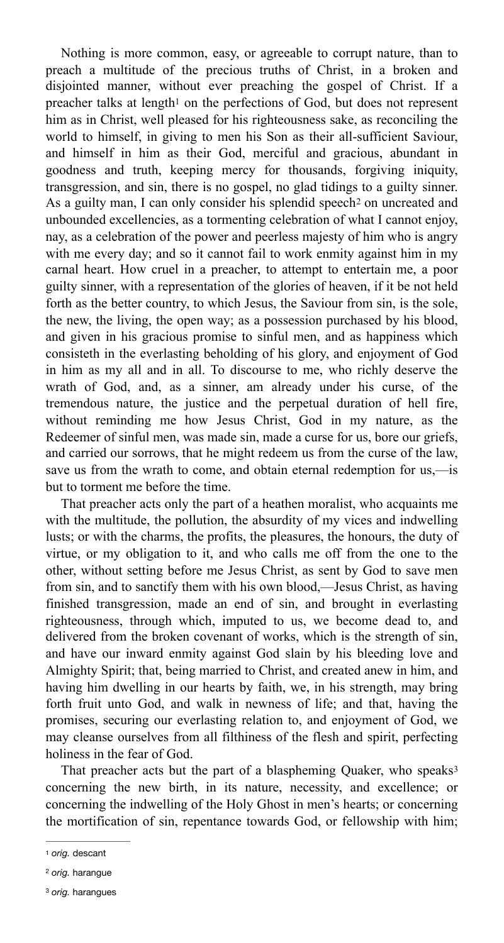<span id="page-1-4"></span><span id="page-1-3"></span>Nothing is more common, easy, or agreeable to corrupt nature, than to preach a multitude of the precious truths of Christ, in a broken and disjointed manner, without ever preaching the gospel of Christ. If a preacher talks at length<sup>[1](#page-1-0)</sup> on the perfections of God, but does not represent him as in Christ, well pleased for his righteousness sake, as reconciling the world to himself, in giving to men his Son as their all-sufficient Saviour, and himself in him as their God, merciful and gracious, abundant in goodness and truth, keeping mercy for thousands, forgiving iniquity, transgression, and sin, there is no gospel, no glad tidings to a guilty sinner. Asa guilty man, I can only consider his splendid speech<sup>[2](#page-1-1)</sup> on uncreated and unbounded excellencies, as a tormenting celebration of what I cannot enjoy, nay, as a celebration of the power and peerless majesty of him who is angry with me every day; and so it cannot fail to work enmity against him in my carnal heart. How cruel in a preacher, to attempt to entertain me, a poor guilty sinner, with a representation of the glories of heaven, if it be not held forth as the better country, to which Jesus, the Saviour from sin, is the sole, the new, the living, the open way; as a possession purchased by his blood, and given in his gracious promise to sinful men, and as happiness which consisteth in the everlasting beholding of his glory, and enjoyment of God in him as my all and in all. To discourse to me, who richly deserve the wrath of God, and, as a sinner, am already under his curse, of the tremendous nature, the justice and the perpetual duration of hell fire, without reminding me how Jesus Christ, God in my nature, as the Redeemer of sinful men, was made sin, made a curse for us, bore our griefs, and carried our sorrows, that he might redeem us from the curse of the law, save us from the wrath to come, and obtain eternal redemption for us,—is but to torment me before the time.

That preacher acts only the part of a heathen moralist, who acquaints me with the multitude, the pollution, the absurdity of my vices and indwelling lusts; or with the charms, the profits, the pleasures, the honours, the duty of virtue, or my obligation to it, and who calls me off from the one to the other, without setting before me Jesus Christ, as sent by God to save men from sin, and to sanctify them with his own blood,—Jesus Christ, as having finished transgression, made an end of sin, and brought in everlasting righteousness, through which, imputed to us, we become dead to, and delivered from the broken covenant of works, which is the strength of sin, and have our inward enmity against God slain by his bleeding love and Almighty Spirit; that, being married to Christ, and created anew in him, and having him dwelling in our hearts by faith, we, in his strength, may bring forth fruit unto God, and walk in newness of life; and that, having the promises, securing our everlasting relation to, and enjoyment of God, we may cleanse ourselves from all filthiness of the flesh and spirit, perfecting holiness in the fear of God.

<span id="page-1-5"></span>That preacher acts but the part of a blaspheming Quaker, who speaks<sup>[3](#page-1-2)</sup> concerning the new birth, in its nature, necessity, and excellence; or concerning the indwelling of the Holy Ghost in men's hearts; or concerning the mortification of sin, repentance towards God, or fellowship with him;

<span id="page-1-0"></span>[<sup>1</sup>](#page-1-3) *orig.* descant

<span id="page-1-1"></span><sup>&</sup>lt;sup>[2](#page-1-4)</sup> orig. harangue

<span id="page-1-2"></span><sup>&</sup>lt;sup>[3](#page-1-5)</sup> orig. harangues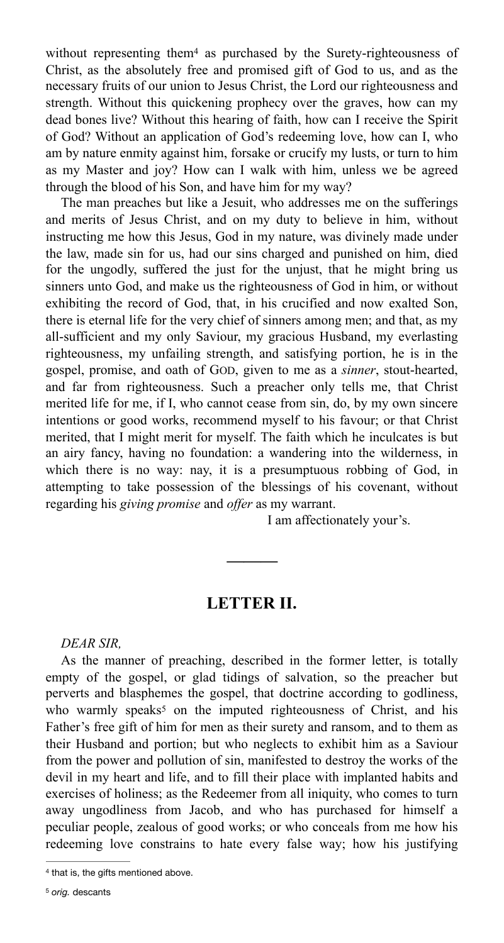<span id="page-2-2"></span>without representing the[m](#page-2-0) $4$  as purchased by the Surety-righteousness of Christ, as the absolutely free and promised gift of God to us, and as the necessary fruits of our union to Jesus Christ, the Lord our righteousness and strength. Without this quickening prophecy over the graves, how can my dead bones live? Without this hearing of faith, how can I receive the Spirit of God? Without an application of God's redeeming love, how can I, who am by nature enmity against him, forsake or crucify my lusts, or turn to him as my Master and joy? How can I walk with him, unless we be agreed through the blood of his Son, and have him for my way?

The man preaches but like a Jesuit, who addresses me on the sufferings and merits of Jesus Christ, and on my duty to believe in him, without instructing me how this Jesus, God in my nature, was divinely made under the law, made sin for us, had our sins charged and punished on him, died for the ungodly, suffered the just for the unjust, that he might bring us sinners unto God, and make us the righteousness of God in him, or without exhibiting the record of God, that, in his crucified and now exalted Son, there is eternal life for the very chief of sinners among men; and that, as my all-sufficient and my only Saviour, my gracious Husband, my everlasting righteousness, my unfailing strength, and satisfying portion, he is in the gospel, promise, and oath of GOD, given to me as a *sinner*, stout-hearted, and far from righteousness. Such a preacher only tells me, that Christ merited life for me, if I, who cannot cease from sin, do, by my own sincere intentions or good works, recommend myself to his favour; or that Christ merited, that I might merit for myself. The faith which he inculcates is but an airy fancy, having no foundation: a wandering into the wilderness, in which there is no way: nay, it is a presumptuous robbing of God, in attempting to take possession of the blessings of his covenant, without regarding his *giving promise* and *offer* as my warrant.

I am affectionately your's.

### <span id="page-2-3"></span>**LETTER II.**

**———** 

#### *DEAR SIR,*

As the manner of preaching, described in the former letter, is totally empty of the gospel, or glad tidings of salvation, so the preacher but perverts and blasphemes the gospel, that doctrine according to godliness, who warmly speaks<sup>[5](#page-2-1)</sup> on the imputed righteousness of Christ, and his Father's free gift of him for men as their surety and ransom, and to them as their Husband and portion; but who neglects to exhibit him as a Saviour from the power and pollution of sin, manifested to destroy the works of the devil in my heart and life, and to fill their place with implanted habits and exercises of holiness; as the Redeemer from all iniquity, who comes to turn away ungodliness from Jacob, and who has purchased for himself a peculiar people, zealous of good works; or who conceals from me how his redeeming love constrains to hate every false way; how his justifying

<span id="page-2-1"></span><span id="page-2-0"></span><sup>&</sup>lt;sup>[4](#page-2-2)</sup> that is, the gifts mentioned above.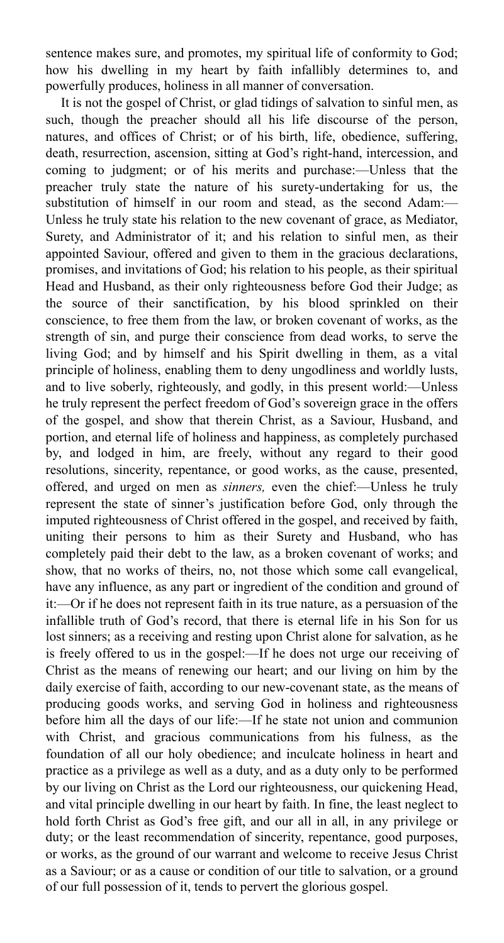sentence makes sure, and promotes, my spiritual life of conformity to God; how his dwelling in my heart by faith infallibly determines to, and powerfully produces, holiness in all manner of conversation.

It is not the gospel of Christ, or glad tidings of salvation to sinful men, as such, though the preacher should all his life discourse of the person, natures, and offices of Christ; or of his birth, life, obedience, suffering, death, resurrection, ascension, sitting at God's right-hand, intercession, and coming to judgment; or of his merits and purchase:—Unless that the preacher truly state the nature of his surety-undertaking for us, the substitution of himself in our room and stead, as the second Adam:— Unless he truly state his relation to the new covenant of grace, as Mediator, Surety, and Administrator of it; and his relation to sinful men, as their appointed Saviour, offered and given to them in the gracious declarations, promises, and invitations of God; his relation to his people, as their spiritual Head and Husband, as their only righteousness before God their Judge; as the source of their sanctification, by his blood sprinkled on their conscience, to free them from the law, or broken covenant of works, as the strength of sin, and purge their conscience from dead works, to serve the living God; and by himself and his Spirit dwelling in them, as a vital principle of holiness, enabling them to deny ungodliness and worldly lusts, and to live soberly, righteously, and godly, in this present world:—Unless he truly represent the perfect freedom of God's sovereign grace in the offers of the gospel, and show that therein Christ, as a Saviour, Husband, and portion, and eternal life of holiness and happiness, as completely purchased by, and lodged in him, are freely, without any regard to their good resolutions, sincerity, repentance, or good works, as the cause, presented, offered, and urged on men as *sinners,* even the chief:—Unless he truly represent the state of sinner's justification before God, only through the imputed righteousness of Christ offered in the gospel, and received by faith, uniting their persons to him as their Surety and Husband, who has completely paid their debt to the law, as a broken covenant of works; and show, that no works of theirs, no, not those which some call evangelical, have any influence, as any part or ingredient of the condition and ground of it:—Or if he does not represent faith in its true nature, as a persuasion of the infallible truth of God's record, that there is eternal life in his Son for us lost sinners; as a receiving and resting upon Christ alone for salvation, as he is freely offered to us in the gospel:—If he does not urge our receiving of Christ as the means of renewing our heart; and our living on him by the daily exercise of faith, according to our new-covenant state, as the means of producing goods works, and serving God in holiness and righteousness before him all the days of our life:—If he state not union and communion with Christ, and gracious communications from his fulness, as the foundation of all our holy obedience; and inculcate holiness in heart and practice as a privilege as well as a duty, and as a duty only to be performed by our living on Christ as the Lord our righteousness, our quickening Head, and vital principle dwelling in our heart by faith. In fine, the least neglect to hold forth Christ as God's free gift, and our all in all, in any privilege or duty; or the least recommendation of sincerity, repentance, good purposes, or works, as the ground of our warrant and welcome to receive Jesus Christ as a Saviour; or as a cause or condition of our title to salvation, or a ground of our full possession of it, tends to pervert the glorious gospel.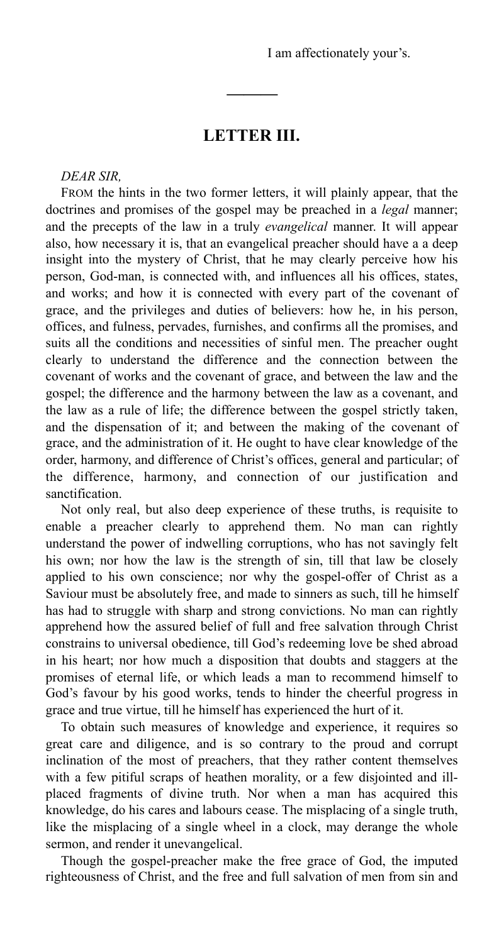I am affectionately your's.

## **LETTER III.**

**———**

*DEAR SIR,* 

FROM the hints in the two former letters, it will plainly appear, that the doctrines and promises of the gospel may be preached in a *legal* manner; and the precepts of the law in a truly *evangelical* manner. It will appear also, how necessary it is, that an evangelical preacher should have a a deep insight into the mystery of Christ, that he may clearly perceive how his person, God-man, is connected with, and influences all his offices, states, and works; and how it is connected with every part of the covenant of grace, and the privileges and duties of believers: how he, in his person, offices, and fulness, pervades, furnishes, and confirms all the promises, and suits all the conditions and necessities of sinful men. The preacher ought clearly to understand the difference and the connection between the covenant of works and the covenant of grace, and between the law and the gospel; the difference and the harmony between the law as a covenant, and the law as a rule of life; the difference between the gospel strictly taken, and the dispensation of it; and between the making of the covenant of grace, and the administration of it. He ought to have clear knowledge of the order, harmony, and difference of Christ's offices, general and particular; of the difference, harmony, and connection of our justification and sanctification.

Not only real, but also deep experience of these truths, is requisite to enable a preacher clearly to apprehend them. No man can rightly understand the power of indwelling corruptions, who has not savingly felt his own; nor how the law is the strength of sin, till that law be closely applied to his own conscience; nor why the gospel-offer of Christ as a Saviour must be absolutely free, and made to sinners as such, till he himself has had to struggle with sharp and strong convictions. No man can rightly apprehend how the assured belief of full and free salvation through Christ constrains to universal obedience, till God's redeeming love be shed abroad in his heart; nor how much a disposition that doubts and staggers at the promises of eternal life, or which leads a man to recommend himself to God's favour by his good works, tends to hinder the cheerful progress in grace and true virtue, till he himself has experienced the hurt of it.

To obtain such measures of knowledge and experience, it requires so great care and diligence, and is so contrary to the proud and corrupt inclination of the most of preachers, that they rather content themselves with a few pitiful scraps of heathen morality, or a few disjointed and illplaced fragments of divine truth. Nor when a man has acquired this knowledge, do his cares and labours cease. The misplacing of a single truth, like the misplacing of a single wheel in a clock, may derange the whole sermon, and render it unevangelical.

Though the gospel-preacher make the free grace of God, the imputed righteousness of Christ, and the free and full salvation of men from sin and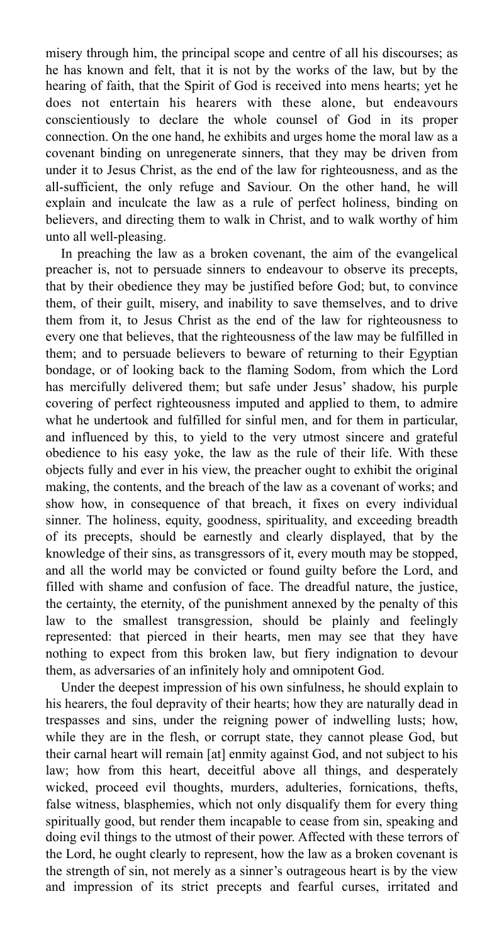misery through him, the principal scope and centre of all his discourses; as he has known and felt, that it is not by the works of the law, but by the hearing of faith, that the Spirit of God is received into mens hearts; yet he does not entertain his hearers with these alone, but endeavours conscientiously to declare the whole counsel of God in its proper connection. On the one hand, he exhibits and urges home the moral law as a covenant binding on unregenerate sinners, that they may be driven from under it to Jesus Christ, as the end of the law for righteousness, and as the all-sufficient, the only refuge and Saviour. On the other hand, he will explain and inculcate the law as a rule of perfect holiness, binding on believers, and directing them to walk in Christ, and to walk worthy of him unto all well-pleasing.

In preaching the law as a broken covenant, the aim of the evangelical preacher is, not to persuade sinners to endeavour to observe its precepts, that by their obedience they may be justified before God; but, to convince them, of their guilt, misery, and inability to save themselves, and to drive them from it, to Jesus Christ as the end of the law for righteousness to every one that believes, that the righteousness of the law may be fulfilled in them; and to persuade believers to beware of returning to their Egyptian bondage, or of looking back to the flaming Sodom, from which the Lord has mercifully delivered them; but safe under Jesus' shadow, his purple covering of perfect righteousness imputed and applied to them, to admire what he undertook and fulfilled for sinful men, and for them in particular, and influenced by this, to yield to the very utmost sincere and grateful obedience to his easy yoke, the law as the rule of their life. With these objects fully and ever in his view, the preacher ought to exhibit the original making, the contents, and the breach of the law as a covenant of works; and show how, in consequence of that breach, it fixes on every individual sinner. The holiness, equity, goodness, spirituality, and exceeding breadth of its precepts, should be earnestly and clearly displayed, that by the knowledge of their sins, as transgressors of it, every mouth may be stopped, and all the world may be convicted or found guilty before the Lord, and filled with shame and confusion of face. The dreadful nature, the justice, the certainty, the eternity, of the punishment annexed by the penalty of this law to the smallest transgression, should be plainly and feelingly represented: that pierced in their hearts, men may see that they have nothing to expect from this broken law, but fiery indignation to devour them, as adversaries of an infinitely holy and omnipotent God.

Under the deepest impression of his own sinfulness, he should explain to his hearers, the foul depravity of their hearts; how they are naturally dead in trespasses and sins, under the reigning power of indwelling lusts; how, while they are in the flesh, or corrupt state, they cannot please God, but their carnal heart will remain [at] enmity against God, and not subject to his law; how from this heart, deceitful above all things, and desperately wicked, proceed evil thoughts, murders, adulteries, fornications, thefts, false witness, blasphemies, which not only disqualify them for every thing spiritually good, but render them incapable to cease from sin, speaking and doing evil things to the utmost of their power. Affected with these terrors of the Lord, he ought clearly to represent, how the law as a broken covenant is the strength of sin, not merely as a sinner's outrageous heart is by the view and impression of its strict precepts and fearful curses, irritated and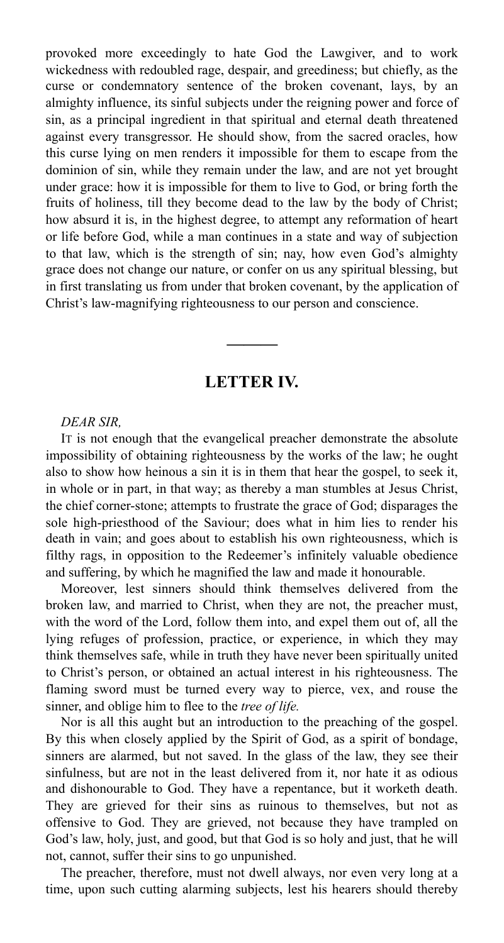provoked more exceedingly to hate God the Lawgiver, and to work wickedness with redoubled rage, despair, and greediness; but chiefly, as the curse or condemnatory sentence of the broken covenant, lays, by an almighty influence, its sinful subjects under the reigning power and force of sin, as a principal ingredient in that spiritual and eternal death threatened against every transgressor. He should show, from the sacred oracles, how this curse lying on men renders it impossible for them to escape from the dominion of sin, while they remain under the law, and are not yet brought under grace: how it is impossible for them to live to God, or bring forth the fruits of holiness, till they become dead to the law by the body of Christ; how absurd it is, in the highest degree, to attempt any reformation of heart or life before God, while a man continues in a state and way of subjection to that law, which is the strength of sin; nay, how even God's almighty grace does not change our nature, or confer on us any spiritual blessing, but in first translating us from under that broken covenant, by the application of Christ's law-magnifying righteousness to our person and conscience.

## **LETTER IV.**

**———** 

#### *DEAR SIR,*

IT is not enough that the evangelical preacher demonstrate the absolute impossibility of obtaining righteousness by the works of the law; he ought also to show how heinous a sin it is in them that hear the gospel, to seek it, in whole or in part, in that way; as thereby a man stumbles at Jesus Christ, the chief corner-stone; attempts to frustrate the grace of God; disparages the sole high-priesthood of the Saviour; does what in him lies to render his death in vain; and goes about to establish his own righteousness, which is filthy rags, in opposition to the Redeemer's infinitely valuable obedience and suffering, by which he magnified the law and made it honourable.

Moreover, lest sinners should think themselves delivered from the broken law, and married to Christ, when they are not, the preacher must, with the word of the Lord, follow them into, and expel them out of, all the lying refuges of profession, practice, or experience, in which they may think themselves safe, while in truth they have never been spiritually united to Christ's person, or obtained an actual interest in his righteousness. The flaming sword must be turned every way to pierce, vex, and rouse the sinner, and oblige him to flee to the *tree of life.*

Nor is all this aught but an introduction to the preaching of the gospel. By this when closely applied by the Spirit of God, as a spirit of bondage, sinners are alarmed, but not saved. In the glass of the law, they see their sinfulness, but are not in the least delivered from it, nor hate it as odious and dishonourable to God. They have a repentance, but it worketh death. They are grieved for their sins as ruinous to themselves, but not as offensive to God. They are grieved, not because they have trampled on God's law, holy, just, and good, but that God is so holy and just, that he will not, cannot, suffer their sins to go unpunished.

The preacher, therefore, must not dwell always, nor even very long at a time, upon such cutting alarming subjects, lest his hearers should thereby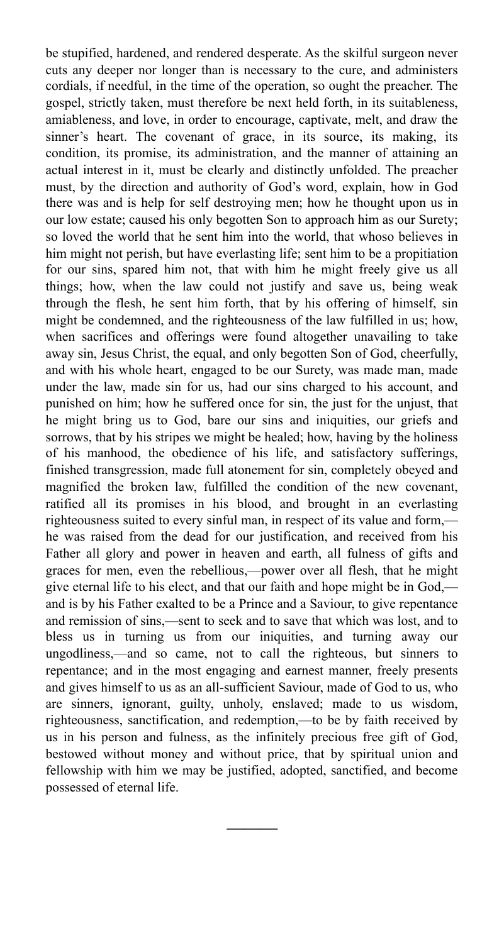be stupified, hardened, and rendered desperate. As the skilful surgeon never cuts any deeper nor longer than is necessary to the cure, and administers cordials, if needful, in the time of the operation, so ought the preacher. The gospel, strictly taken, must therefore be next held forth, in its suitableness, amiableness, and love, in order to encourage, captivate, melt, and draw the sinner's heart. The covenant of grace, in its source, its making, its condition, its promise, its administration, and the manner of attaining an actual interest in it, must be clearly and distinctly unfolded. The preacher must, by the direction and authority of God's word, explain, how in God there was and is help for self destroying men; how he thought upon us in our low estate; caused his only begotten Son to approach him as our Surety; so loved the world that he sent him into the world, that whoso believes in him might not perish, but have everlasting life; sent him to be a propitiation for our sins, spared him not, that with him he might freely give us all things; how, when the law could not justify and save us, being weak through the flesh, he sent him forth, that by his offering of himself, sin might be condemned, and the righteousness of the law fulfilled in us; how, when sacrifices and offerings were found altogether unavailing to take away sin, Jesus Christ, the equal, and only begotten Son of God, cheerfully, and with his whole heart, engaged to be our Surety, was made man, made under the law, made sin for us, had our sins charged to his account, and punished on him; how he suffered once for sin, the just for the unjust, that he might bring us to God, bare our sins and iniquities, our griefs and sorrows, that by his stripes we might be healed; how, having by the holiness of his manhood, the obedience of his life, and satisfactory sufferings, finished transgression, made full atonement for sin, completely obeyed and magnified the broken law, fulfilled the condition of the new covenant, ratified all its promises in his blood, and brought in an everlasting righteousness suited to every sinful man, in respect of its value and form, he was raised from the dead for our justification, and received from his Father all glory and power in heaven and earth, all fulness of gifts and graces for men, even the rebellious,—power over all flesh, that he might give eternal life to his elect, and that our faith and hope might be in God, and is by his Father exalted to be a Prince and a Saviour, to give repentance and remission of sins,—sent to seek and to save that which was lost, and to bless us in turning us from our iniquities, and turning away our ungodliness,—and so came, not to call the righteous, but sinners to repentance; and in the most engaging and earnest manner, freely presents and gives himself to us as an all-sufficient Saviour, made of God to us, who are sinners, ignorant, guilty, unholy, enslaved; made to us wisdom, righteousness, sanctification, and redemption,—to be by faith received by us in his person and fulness, as the infinitely precious free gift of God, bestowed without money and without price, that by spiritual union and fellowship with him we may be justified, adopted, sanctified, and become possessed of eternal life.

**———**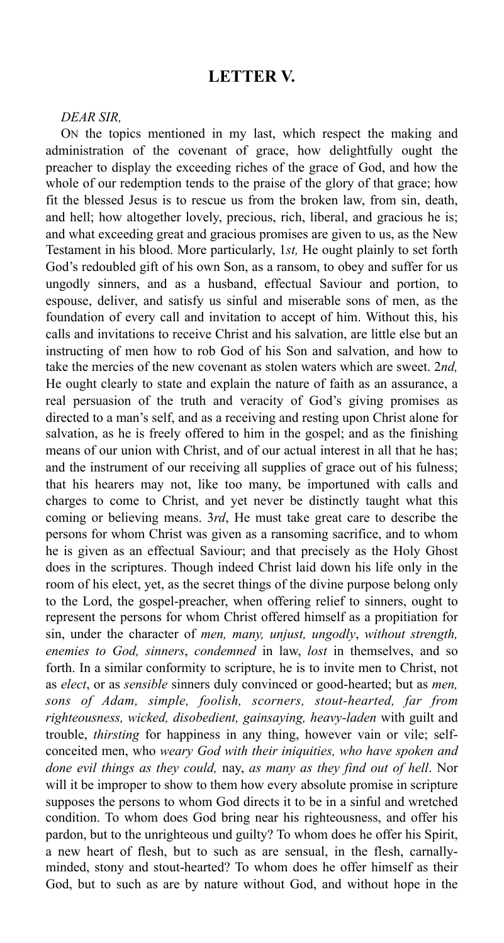## **LETTER V.**

#### *DEAR SIR,*

ON the topics mentioned in my last, which respect the making and administration of the covenant of grace, how delightfully ought the preacher to display the exceeding riches of the grace of God, and how the whole of our redemption tends to the praise of the glory of that grace; how fit the blessed Jesus is to rescue us from the broken law, from sin, death, and hell; how altogether lovely, precious, rich, liberal, and gracious he is; and what exceeding great and gracious promises are given to us, as the New Testament in his blood. More particularly, 1*st,* He ought plainly to set forth God's redoubled gift of his own Son, as a ransom, to obey and suffer for us ungodly sinners, and as a husband, effectual Saviour and portion, to espouse, deliver, and satisfy us sinful and miserable sons of men, as the foundation of every call and invitation to accept of him. Without this, his calls and invitations to receive Christ and his salvation, are little else but an instructing of men how to rob God of his Son and salvation, and how to take the mercies of the new covenant as stolen waters which are sweet. 2*nd,*  He ought clearly to state and explain the nature of faith as an assurance, a real persuasion of the truth and veracity of God's giving promises as directed to a man's self, and as a receiving and resting upon Christ alone for salvation, as he is freely offered to him in the gospel; and as the finishing means of our union with Christ, and of our actual interest in all that he has; and the instrument of our receiving all supplies of grace out of his fulness; that his hearers may not, like too many, be importuned with calls and charges to come to Christ, and yet never be distinctly taught what this coming or believing means. 3*rd*, He must take great care to describe the persons for whom Christ was given as a ransoming sacrifice, and to whom he is given as an effectual Saviour; and that precisely as the Holy Ghost does in the scriptures. Though indeed Christ laid down his life only in the room of his elect, yet, as the secret things of the divine purpose belong only to the Lord, the gospel-preacher, when offering relief to sinners, ought to represent the persons for whom Christ offered himself as a propitiation for sin, under the character of *men, many, unjust, ungodly*, *without strength, enemies to God, sinners*, *condemned* in law, *lost* in themselves, and so forth. In a similar conformity to scripture, he is to invite men to Christ, not as *elect*, or as *sensible* sinners duly convinced or good-hearted; but as *men, sons of Adam, simple, foolish, scorners, stout-hearted, far from righteousness, wicked, disobedient, gainsaying, heavy-laden* with guilt and trouble, *thirsting* for happiness in any thing, however vain or vile; selfconceited men, who *weary God with their iniquities, who have spoken and done evil things as they could,* nay, *as many as they find out of hell*. Nor will it be improper to show to them how every absolute promise in scripture supposes the persons to whom God directs it to be in a sinful and wretched condition. To whom does God bring near his righteousness, and offer his pardon, but to the unrighteous und guilty? To whom does he offer his Spirit, a new heart of flesh, but to such as are sensual, in the flesh, carnallyminded, stony and stout-hearted? To whom does he offer himself as their God, but to such as are by nature without God, and without hope in the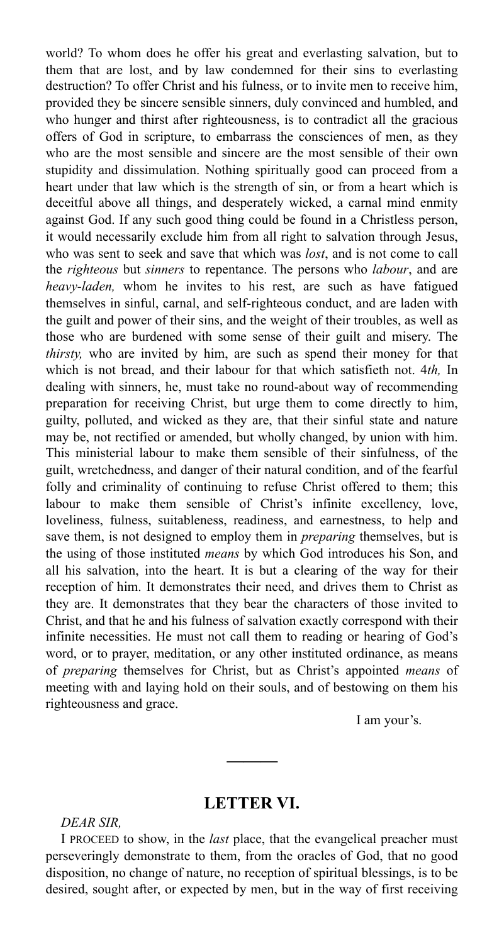world? To whom does he offer his great and everlasting salvation, but to them that are lost, and by law condemned for their sins to everlasting destruction? To offer Christ and his fulness, or to invite men to receive him, provided they be sincere sensible sinners, duly convinced and humbled, and who hunger and thirst after righteousness, is to contradict all the gracious offers of God in scripture, to embarrass the consciences of men, as they who are the most sensible and sincere are the most sensible of their own stupidity and dissimulation. Nothing spiritually good can proceed from a heart under that law which is the strength of sin, or from a heart which is deceitful above all things, and desperately wicked, a carnal mind enmity against God. If any such good thing could be found in a Christless person, it would necessarily exclude him from all right to salvation through Jesus, who was sent to seek and save that which was *lost*, and is not come to call the *righteous* but *sinners* to repentance. The persons who *labour*, and are *heavy-laden,* whom he invites to his rest, are such as have fatigued themselves in sinful, carnal, and self-righteous conduct, and are laden with the guilt and power of their sins, and the weight of their troubles, as well as those who are burdened with some sense of their guilt and misery. The *thirsty,* who are invited by him, are such as spend their money for that which is not bread, and their labour for that which satisfieth not. 4*th,* In dealing with sinners, he, must take no round-about way of recommending preparation for receiving Christ, but urge them to come directly to him, guilty, polluted, and wicked as they are, that their sinful state and nature may be, not rectified or amended, but wholly changed, by union with him. This ministerial labour to make them sensible of their sinfulness, of the guilt, wretchedness, and danger of their natural condition, and of the fearful folly and criminality of continuing to refuse Christ offered to them; this labour to make them sensible of Christ's infinite excellency, love, loveliness, fulness, suitableness, readiness, and earnestness, to help and save them, is not designed to employ them in *preparing* themselves, but is the using of those instituted *means* by which God introduces his Son, and all his salvation, into the heart. It is but a clearing of the way for their reception of him. It demonstrates their need, and drives them to Christ as they are. It demonstrates that they bear the characters of those invited to Christ, and that he and his fulness of salvation exactly correspond with their infinite necessities. He must not call them to reading or hearing of God's word, or to prayer, meditation, or any other instituted ordinance, as means of *preparing* themselves for Christ, but as Christ's appointed *means* of meeting with and laying hold on their souls, and of bestowing on them his righteousness and grace.

I am your's.

## **LETTER VI.**

**———** 

#### *DEAR SIR,*

I PROCEED to show, in the *last* place, that the evangelical preacher must perseveringly demonstrate to them, from the oracles of God, that no good disposition, no change of nature, no reception of spiritual blessings, is to be desired, sought after, or expected by men, but in the way of first receiving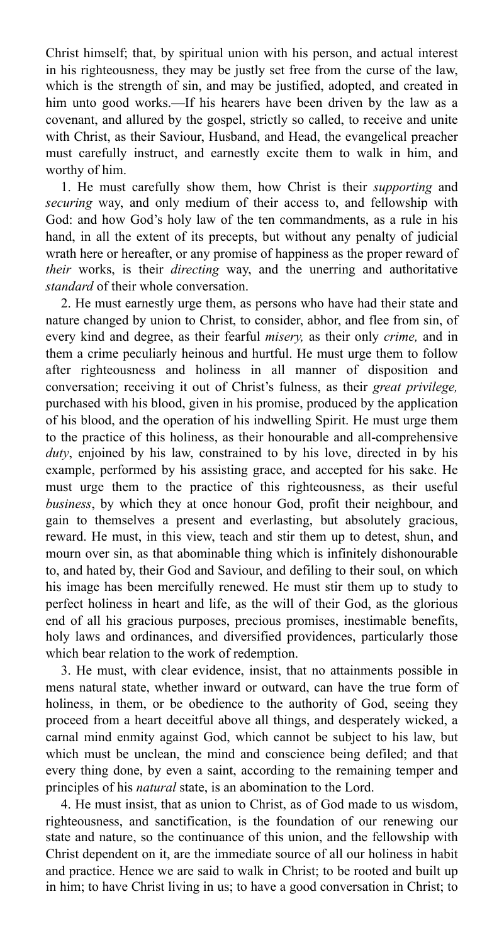Christ himself; that, by spiritual union with his person, and actual interest in his righteousness, they may be justly set free from the curse of the law, which is the strength of sin, and may be justified, adopted, and created in him unto good works.—If his hearers have been driven by the law as a covenant, and allured by the gospel, strictly so called, to receive and unite with Christ, as their Saviour, Husband, and Head, the evangelical preacher must carefully instruct, and earnestly excite them to walk in him, and worthy of him.

1. He must carefully show them, how Christ is their *supporting* and *securing* way, and only medium of their access to, and fellowship with God: and how God's holy law of the ten commandments, as a rule in his hand, in all the extent of its precepts, but without any penalty of judicial wrath here or hereafter, or any promise of happiness as the proper reward of *their* works, is their *directing* way, and the unerring and authoritative *standard* of their whole conversation.

2. He must earnestly urge them, as persons who have had their state and nature changed by union to Christ, to consider, abhor, and flee from sin, of every kind and degree, as their fearful *misery,* as their only *crime,* and in them a crime peculiarly heinous and hurtful. He must urge them to follow after righteousness and holiness in all manner of disposition and conversation; receiving it out of Christ's fulness, as their *great privilege,*  purchased with his blood, given in his promise, produced by the application of his blood, and the operation of his indwelling Spirit. He must urge them to the practice of this holiness, as their honourable and all-comprehensive *duty*, enjoined by his law, constrained to by his love, directed in by his example, performed by his assisting grace, and accepted for his sake. He must urge them to the practice of this righteousness, as their useful *business*, by which they at once honour God, profit their neighbour, and gain to themselves a present and everlasting, but absolutely gracious, reward. He must, in this view, teach and stir them up to detest, shun, and mourn over sin, as that abominable thing which is infinitely dishonourable to, and hated by, their God and Saviour, and defiling to their soul, on which his image has been mercifully renewed. He must stir them up to study to perfect holiness in heart and life, as the will of their God, as the glorious end of all his gracious purposes, precious promises, inestimable benefits, holy laws and ordinances, and diversified providences, particularly those which bear relation to the work of redemption.

3. He must, with clear evidence, insist, that no attainments possible in mens natural state, whether inward or outward, can have the true form of holiness, in them, or be obedience to the authority of God, seeing they proceed from a heart deceitful above all things, and desperately wicked, a carnal mind enmity against God, which cannot be subject to his law, but which must be unclean, the mind and conscience being defiled; and that every thing done, by even a saint, according to the remaining temper and principles of his *natural* state, is an abomination to the Lord.

4. He must insist, that as union to Christ, as of God made to us wisdom, righteousness, and sanctification, is the foundation of our renewing our state and nature, so the continuance of this union, and the fellowship with Christ dependent on it, are the immediate source of all our holiness in habit and practice. Hence we are said to walk in Christ; to be rooted and built up in him; to have Christ living in us; to have a good conversation in Christ; to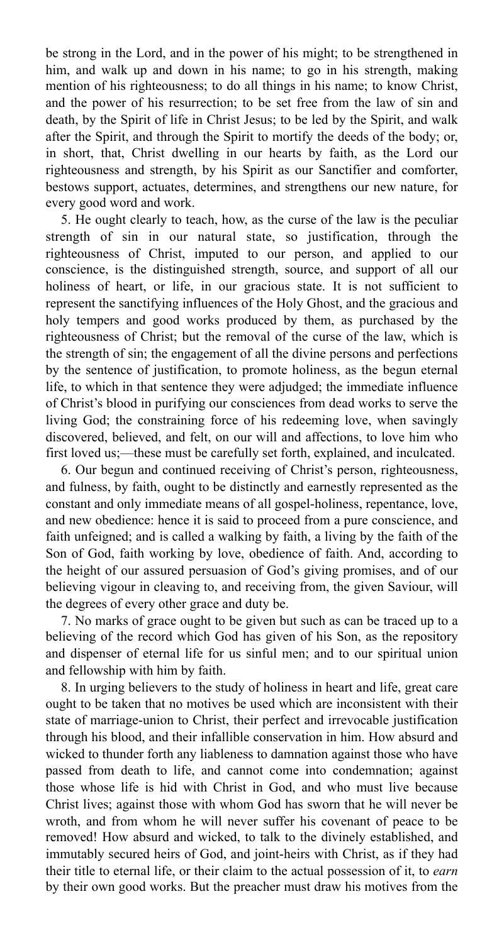be strong in the Lord, and in the power of his might; to be strengthened in him, and walk up and down in his name; to go in his strength, making mention of his righteousness; to do all things in his name; to know Christ, and the power of his resurrection; to be set free from the law of sin and death, by the Spirit of life in Christ Jesus; to be led by the Spirit, and walk after the Spirit, and through the Spirit to mortify the deeds of the body; or, in short, that, Christ dwelling in our hearts by faith, as the Lord our righteousness and strength, by his Spirit as our Sanctifier and comforter, bestows support, actuates, determines, and strengthens our new nature, for every good word and work.

5. He ought clearly to teach, how, as the curse of the law is the peculiar strength of sin in our natural state, so justification, through the righteousness of Christ, imputed to our person, and applied to our conscience, is the distinguished strength, source, and support of all our holiness of heart, or life, in our gracious state. It is not sufficient to represent the sanctifying influences of the Holy Ghost, and the gracious and holy tempers and good works produced by them, as purchased by the righteousness of Christ; but the removal of the curse of the law, which is the strength of sin; the engagement of all the divine persons and perfections by the sentence of justification, to promote holiness, as the begun eternal life, to which in that sentence they were adjudged; the immediate influence of Christ's blood in purifying our consciences from dead works to serve the living God; the constraining force of his redeeming love, when savingly discovered, believed, and felt, on our will and affections, to love him who first loved us;—these must be carefully set forth, explained, and inculcated.

6. Our begun and continued receiving of Christ's person, righteousness, and fulness, by faith, ought to be distinctly and earnestly represented as the constant and only immediate means of all gospel-holiness, repentance, love, and new obedience: hence it is said to proceed from a pure conscience, and faith unfeigned; and is called a walking by faith, a living by the faith of the Son of God, faith working by love, obedience of faith. And, according to the height of our assured persuasion of God's giving promises, and of our believing vigour in cleaving to, and receiving from, the given Saviour, will the degrees of every other grace and duty be.

7. No marks of grace ought to be given but such as can be traced up to a believing of the record which God has given of his Son, as the repository and dispenser of eternal life for us sinful men; and to our spiritual union and fellowship with him by faith.

8. In urging believers to the study of holiness in heart and life, great care ought to be taken that no motives be used which are inconsistent with their state of marriage-union to Christ, their perfect and irrevocable justification through his blood, and their infallible conservation in him. How absurd and wicked to thunder forth any liableness to damnation against those who have passed from death to life, and cannot come into condemnation; against those whose life is hid with Christ in God, and who must live because Christ lives; against those with whom God has sworn that he will never be wroth, and from whom he will never suffer his covenant of peace to be removed! How absurd and wicked, to talk to the divinely established, and immutably secured heirs of God, and joint-heirs with Christ, as if they had their title to eternal life, or their claim to the actual possession of it, to *earn* by their own good works. But the preacher must draw his motives from the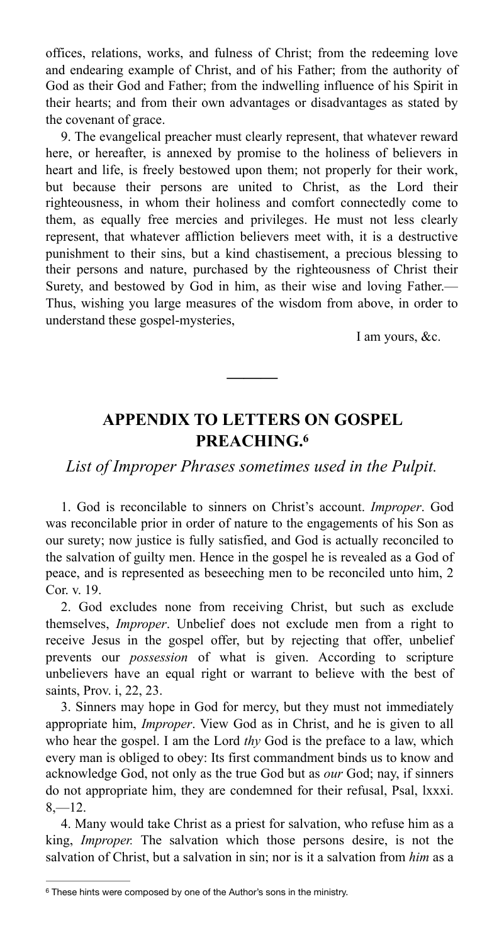offices, relations, works, and fulness of Christ; from the redeeming love and endearing example of Christ, and of his Father; from the authority of God as their God and Father; from the indwelling influence of his Spirit in their hearts; and from their own advantages or disadvantages as stated by the covenant of grace.

9. The evangelical preacher must clearly represent, that whatever reward here, or hereafter, is annexed by promise to the holiness of believers in heart and life, is freely bestowed upon them; not properly for their work, but because their persons are united to Christ, as the Lord their righteousness, in whom their holiness and comfort connectedly come to them, as equally free mercies and privileges. He must not less clearly represent, that whatever affliction believers meet with, it is a destructive punishment to their sins, but a kind chastisement, a precious blessing to their persons and nature, purchased by the righteousness of Christ their Surety, and bestowed by God in him, as their wise and loving Father.— Thus, wishing you large measures of the wisdom from above, in order to understand these gospel-mysteries,

I am yours, &c.

# **APPENDIX TO LETTERS ON GOSPEL PREACHING[.6](#page-12-0)**

<span id="page-12-1"></span>**———** 

*List of Improper Phrases sometimes used in the Pulpit.* 

1. God is reconcilable to sinners on Christ's account. *Improper*. God was reconcilable prior in order of nature to the engagements of his Son as our surety; now justice is fully satisfied, and God is actually reconciled to the salvation of guilty men. Hence in the gospel he is revealed as a God of peace, and is represented as beseeching men to be reconciled unto him, 2 Cor. v. 19.

2. God excludes none from receiving Christ, but such as exclude themselves, *Improper*. Unbelief does not exclude men from a right to receive Jesus in the gospel offer, but by rejecting that offer, unbelief prevents our *possession* of what is given. According to scripture unbelievers have an equal right or warrant to believe with the best of saints, Prov. i, 22, 23.

3. Sinners may hope in God for mercy, but they must not immediately appropriate him, *Improper*. View God as in Christ, and he is given to all who hear the gospel. I am the Lord *thy* God is the preface to a law, which every man is obliged to obey: Its first commandment binds us to know and acknowledge God, not only as the true God but as *our* God; nay, if sinners do not appropriate him, they are condemned for their refusal, Psal, lxxxi.  $8 - 12.$ 

4. Many would take Christ as a priest for salvation, who refuse him as a king, *Improper.* The salvation which those persons desire, is not the salvation of Christ, but a salvation in sin; nor is it a salvation from *him* as a

<span id="page-12-0"></span><sup>&</sup>lt;sup>[6](#page-12-1)</sup> These hints were composed by one of the Author's sons in the ministry.